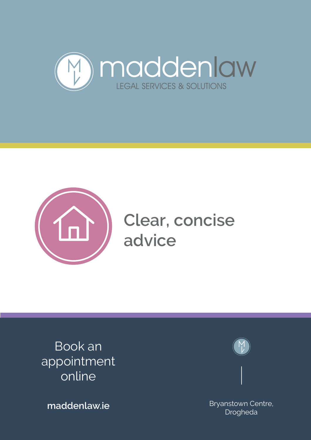



Book an appointment online

**maddenlaw.ie Example 2018** Bryanstown Centre, Drogheda